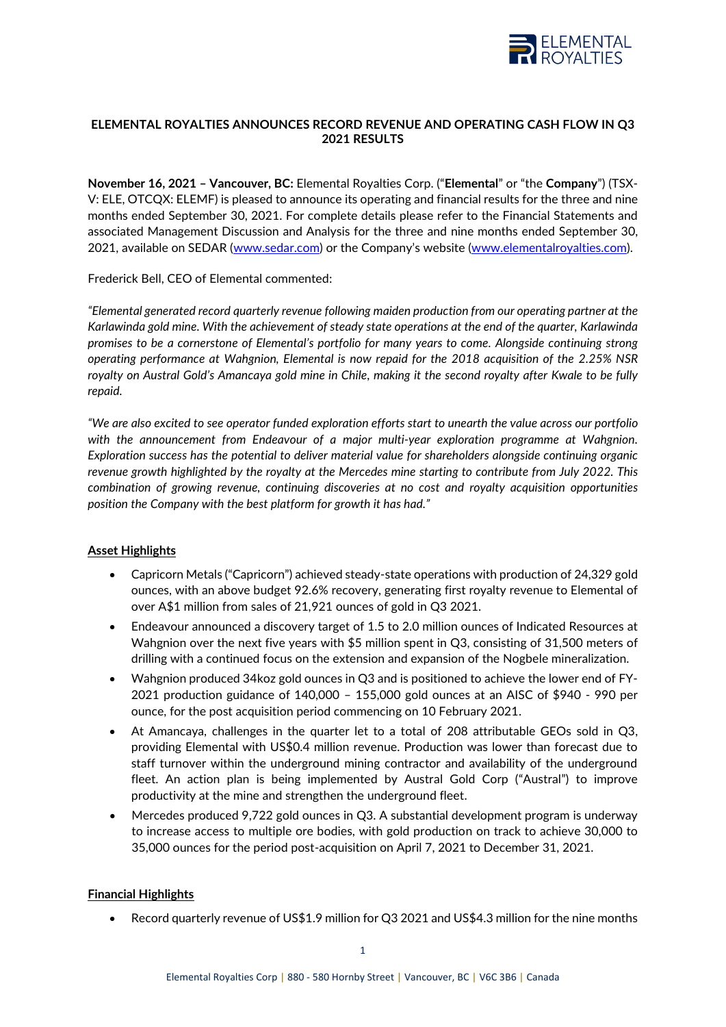

# **ELEMENTAL ROYALTIES ANNOUNCES RECORD REVENUE AND OPERATING CASH FLOW IN Q3 2021 RESULTS**

**November 16, 2021 – Vancouver, BC:** Elemental Royalties Corp. ("**Elemental**" or "the **Company**") (TSX-V: ELE, OTCQX: ELEMF) is pleased to announce its operating and financial results for the three and nine months ended September 30, 2021. For complete details please refer to the Financial Statements and associated Management Discussion and Analysis for the three and nine months ended September 30, 2021, available on SEDAR [\(www.sedar.com\)](http://www.sedar.com/) or the Company's website ([www.elementalroyalties.com\)](http://www.elementalroyalties.com/).

Frederick Bell, CEO of Elemental commented:

*"Elemental generated record quarterly revenue following maiden production from our operating partner at the Karlawinda gold mine. With the achievement of steady state operations at the end of the quarter, Karlawinda promises to be a cornerstone of Elemental's portfolio for many years to come. Alongside continuing strong operating performance at Wahgnion, Elemental is now repaid for the 2018 acquisition of the 2.25% NSR royalty on Austral Gold's Amancaya gold mine in Chile, making it the second royalty after Kwale to be fully repaid.* 

*"We are also excited to see operator funded exploration efforts start to unearth the value across our portfolio with the announcement from Endeavour of a major multi-year exploration programme at Wahgnion. Exploration success has the potential to deliver material value for shareholders alongside continuing organic revenue growth highlighted by the royalty at the Mercedes mine starting to contribute from July 2022. This combination of growing revenue, continuing discoveries at no cost and royalty acquisition opportunities position the Company with the best platform for growth it has had."*

## **Asset Highlights**

- Capricorn Metals ("Capricorn") achieved steady-state operations with production of 24,329 gold ounces, with an above budget 92.6% recovery, generating first royalty revenue to Elemental of over A\$1 million from sales of 21,921 ounces of gold in Q3 2021.
- Endeavour announced a discovery target of 1.5 to 2.0 million ounces of Indicated Resources at Wahgnion over the next five years with \$5 million spent in Q3, consisting of 31,500 meters of drilling with a continued focus on the extension and expansion of the Nogbele mineralization.
- Wahgnion produced 34koz gold ounces in Q3 and is positioned to achieve the lower end of FY-2021 production guidance of 140,000 – 155,000 gold ounces at an AISC of \$940 - 990 per ounce, for the post acquisition period commencing on 10 February 2021.
- At Amancaya, challenges in the quarter let to a total of 208 attributable GEOs sold in Q3, providing Elemental with US\$0.4 million revenue. Production was lower than forecast due to staff turnover within the underground mining contractor and availability of the underground fleet. An action plan is being implemented by Austral Gold Corp ("Austral") to improve productivity at the mine and strengthen the underground fleet.
- Mercedes produced 9,722 gold ounces in Q3. A substantial development program is underway to increase access to multiple ore bodies, with gold production on track to achieve 30,000 to 35,000 ounces for the period post-acquisition on April 7, 2021 to December 31, 2021.

## **Financial Highlights**

• Record quarterly revenue of US\$1.9 million for Q3 2021 and US\$4.3 million for the nine months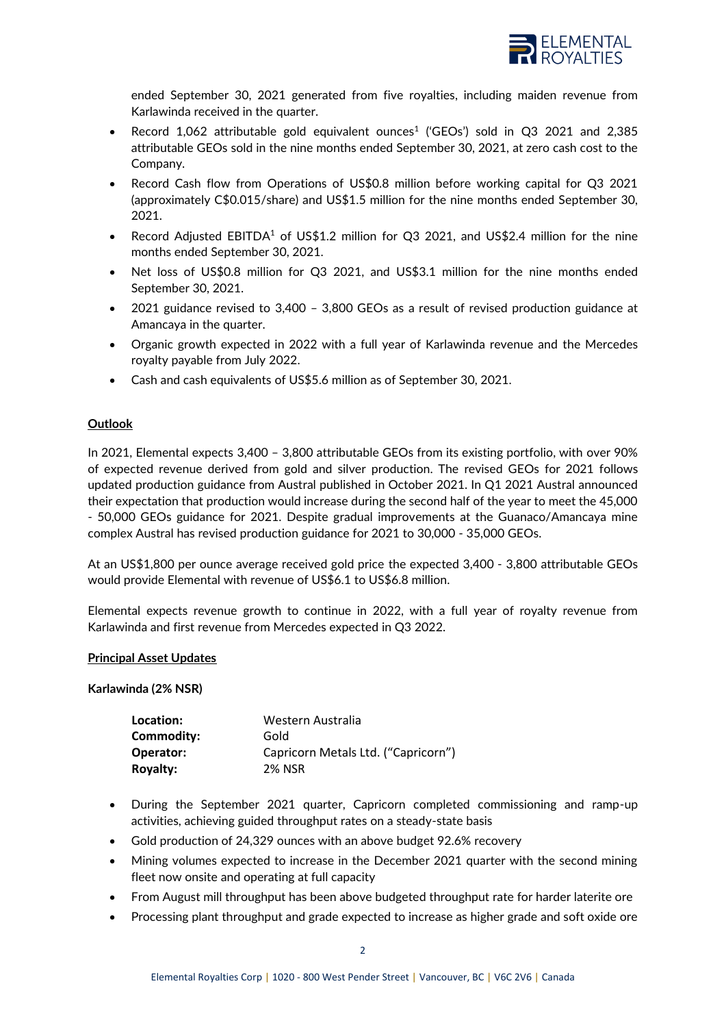

ended September 30, 2021 generated from five royalties, including maiden revenue from Karlawinda received in the quarter.

- Record 1,062 attributable gold equivalent ounces<sup>1</sup> ('GEOs') sold in Q3 2021 and 2,385 attributable GEOs sold in the nine months ended September 30, 2021, at zero cash cost to the Company.
- Record Cash flow from Operations of US\$0.8 million before working capital for Q3 2021 (approximately C\$0.015/share) and US\$1.5 million for the nine months ended September 30, 2021.
- Record Adjusted EBITDA<sup>1</sup> of US\$1.2 million for Q3 2021, and US\$2.4 million for the nine months ended September 30, 2021.
- Net loss of US\$0.8 million for Q3 2021, and US\$3.1 million for the nine months ended September 30, 2021.
- 2021 guidance revised to 3,400 3,800 GEOs as a result of revised production guidance at Amancaya in the quarter.
- Organic growth expected in 2022 with a full year of Karlawinda revenue and the Mercedes royalty payable from July 2022.
- Cash and cash equivalents of US\$5.6 million as of September 30, 2021.

## **Outlook**

In 2021, Elemental expects 3,400 – 3,800 attributable GEOs from its existing portfolio, with over 90% of expected revenue derived from gold and silver production. The revised GEOs for 2021 follows updated production guidance from Austral published in October 2021. In Q1 2021 Austral announced their expectation that production would increase during the second half of the year to meet the 45,000 - 50,000 GEOs guidance for 2021. Despite gradual improvements at the Guanaco/Amancaya mine complex Austral has revised production guidance for 2021 to 30,000 - 35,000 GEOs.

At an US\$1,800 per ounce average received gold price the expected 3,400 - 3,800 attributable GEOs would provide Elemental with revenue of US\$6.1 to US\$6.8 million.

Elemental expects revenue growth to continue in 2022, with a full year of royalty revenue from Karlawinda and first revenue from Mercedes expected in Q3 2022.

#### **Principal Asset Updates**

**Karlawinda (2% NSR)**

| Location:       | Western Australia                   |
|-----------------|-------------------------------------|
| Commodity:      | Gold                                |
| Operator:       | Capricorn Metals Ltd. ("Capricorn") |
| <b>Royalty:</b> | <b>2% NSR</b>                       |

- During the September 2021 quarter, Capricorn completed commissioning and ramp-up activities, achieving guided throughput rates on a steady-state basis
- Gold production of 24,329 ounces with an above budget 92.6% recovery
- Mining volumes expected to increase in the December 2021 quarter with the second mining fleet now onsite and operating at full capacity
- From August mill throughput has been above budgeted throughput rate for harder laterite ore
- Processing plant throughput and grade expected to increase as higher grade and soft oxide ore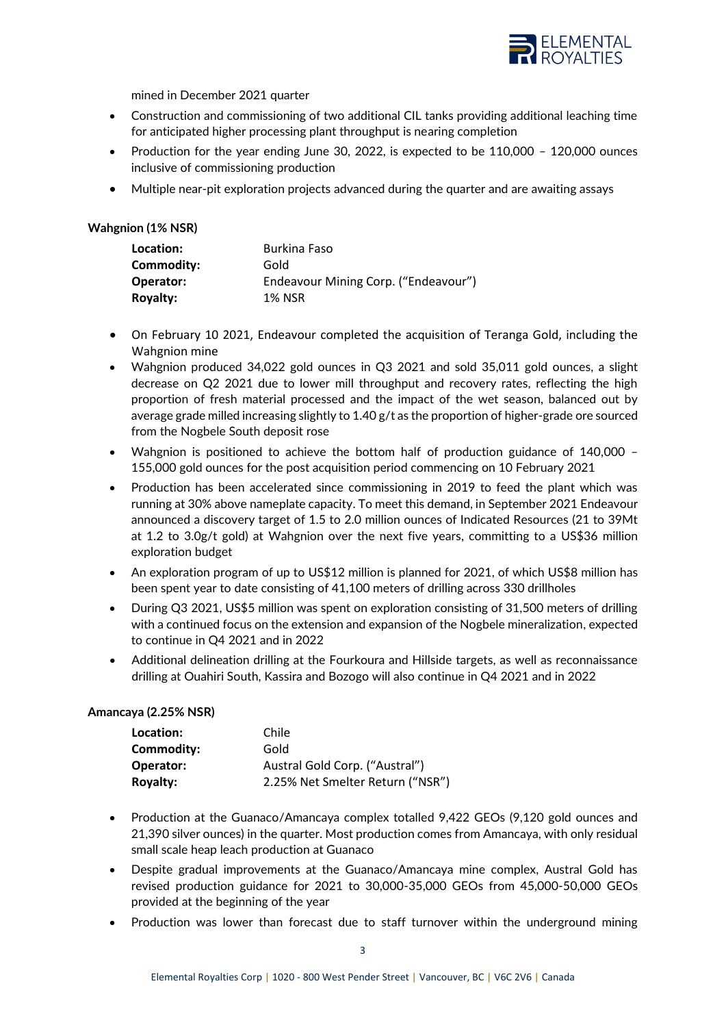

mined in December 2021 quarter

- Construction and commissioning of two additional CIL tanks providing additional leaching time for anticipated higher processing plant throughput is nearing completion
- Production for the year ending June 30, 2022, is expected to be 110,000 120,000 ounces inclusive of commissioning production
- Multiple near-pit exploration projects advanced during the quarter and are awaiting assays

## **Wahgnion (1% NSR)**

| Location:       | Burkina Faso                         |
|-----------------|--------------------------------------|
| Commodity:      | Gold                                 |
| Operator:       | Endeavour Mining Corp. ("Endeavour") |
| <b>Royalty:</b> | <b>1% NSR</b>                        |

- On February 10 2021, Endeavour completed the acquisition of Teranga Gold, including the Wahgnion mine
- Wahgnion produced 34,022 gold ounces in Q3 2021 and sold 35,011 gold ounces, a slight decrease on Q2 2021 due to lower mill throughput and recovery rates, reflecting the high proportion of fresh material processed and the impact of the wet season, balanced out by average grade milled increasing slightly to 1.40 g/t as the proportion of higher-grade ore sourced from the Nogbele South deposit rose
- Wahgnion is positioned to achieve the bottom half of production guidance of 140,000 155,000 gold ounces for the post acquisition period commencing on 10 February 2021
- Production has been accelerated since commissioning in 2019 to feed the plant which was running at 30% above nameplate capacity. To meet this demand, in September 2021 Endeavour announced a discovery target of 1.5 to 2.0 million ounces of Indicated Resources (21 to 39Mt at 1.2 to 3.0g/t gold) at Wahgnion over the next five years, committing to a US\$36 million exploration budget
- An exploration program of up to US\$12 million is planned for 2021, of which US\$8 million has been spent year to date consisting of 41,100 meters of drilling across 330 drillholes
- During Q3 2021, US\$5 million was spent on exploration consisting of 31,500 meters of drilling with a continued focus on the extension and expansion of the Nogbele mineralization, expected to continue in Q4 2021 and in 2022
- Additional delineation drilling at the Fourkoura and Hillside targets, as well as reconnaissance drilling at Ouahiri South, Kassira and Bozogo will also continue in Q4 2021 and in 2022

#### **Amancaya (2.25% NSR)**

| Location:       | Chile                            |
|-----------------|----------------------------------|
| Commodity:      | Gold                             |
| Operator:       | Austral Gold Corp. ("Austral")   |
| <b>Royalty:</b> | 2.25% Net Smelter Return ("NSR") |

- Production at the Guanaco/Amancaya complex totalled 9,422 GEOs (9,120 gold ounces and 21,390 silver ounces) in the quarter. Most production comes from Amancaya, with only residual small scale heap leach production at Guanaco
- Despite gradual improvements at the Guanaco/Amancaya mine complex, Austral Gold has revised production guidance for 2021 to 30,000-35,000 GEOs from 45,000-50,000 GEOs provided at the beginning of the year
- Production was lower than forecast due to staff turnover within the underground mining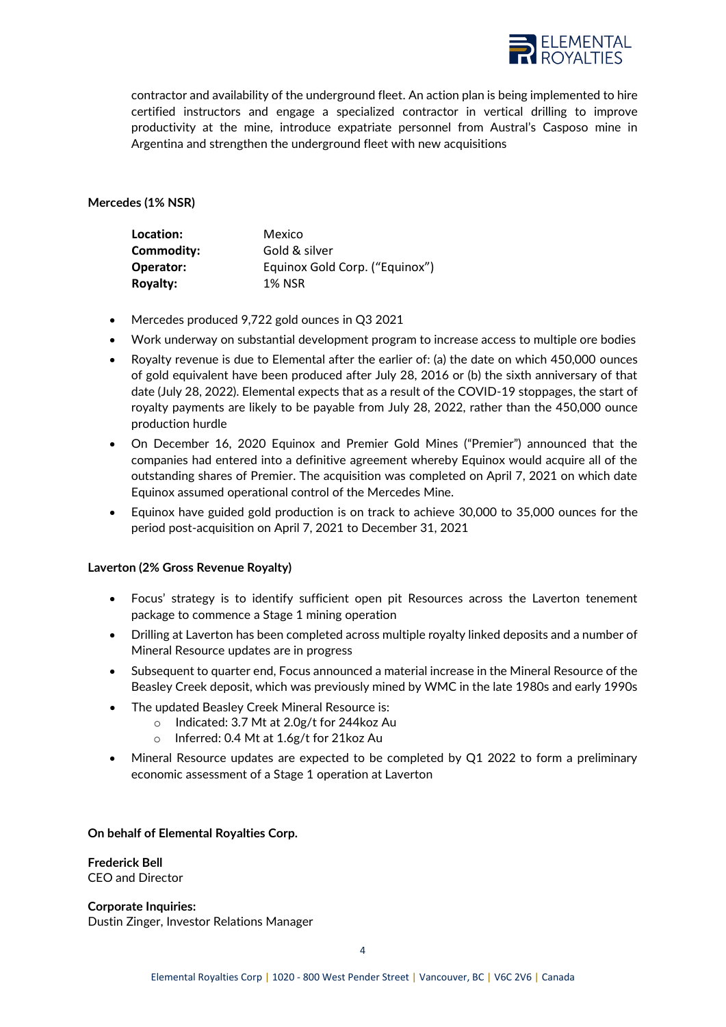

contractor and availability of the underground fleet. An action plan is being implemented to hire certified instructors and engage a specialized contractor in vertical drilling to improve productivity at the mine, introduce expatriate personnel from Austral's Casposo mine in Argentina and strengthen the underground fleet with new acquisitions

### **Mercedes (1% NSR)**

| Location:       | Mexico                         |
|-----------------|--------------------------------|
| Commodity:      | Gold & silver                  |
| Operator:       | Equinox Gold Corp. ("Equinox") |
| <b>Royalty:</b> | 1% NSR                         |

- Mercedes produced 9,722 gold ounces in Q3 2021
- Work underway on substantial development program to increase access to multiple ore bodies
- Royalty revenue is due to Elemental after the earlier of: (a) the date on which 450,000 ounces of gold equivalent have been produced after July 28, 2016 or (b) the sixth anniversary of that date (July 28, 2022). Elemental expects that as a result of the COVID-19 stoppages, the start of royalty payments are likely to be payable from July 28, 2022, rather than the 450,000 ounce production hurdle
- On December 16, 2020 Equinox and Premier Gold Mines ("Premier") announced that the companies had entered into a definitive agreement whereby Equinox would acquire all of the outstanding shares of Premier. The acquisition was completed on April 7, 2021 on which date Equinox assumed operational control of the Mercedes Mine.
- Equinox have guided gold production is on track to achieve 30,000 to 35,000 ounces for the period post-acquisition on April 7, 2021 to December 31, 2021

#### **Laverton (2% Gross Revenue Royalty)**

- Focus' strategy is to identify sufficient open pit Resources across the Laverton tenement package to commence a Stage 1 mining operation
- Drilling at Laverton has been completed across multiple royalty linked deposits and a number of Mineral Resource updates are in progress
- Subsequent to quarter end, Focus announced a material increase in the Mineral Resource of the Beasley Creek deposit, which was previously mined by WMC in the late 1980s and early 1990s
- The updated Beasley Creek Mineral Resource is:
	- o Indicated: 3.7 Mt at 2.0g/t for 244koz Au
		- o Inferred: 0.4 Mt at 1.6g/t for 21koz Au
- Mineral Resource updates are expected to be completed by Q1 2022 to form a preliminary economic assessment of a Stage 1 operation at Laverton

#### **On behalf of Elemental Royalties Corp.**

**Frederick Bell** CEO and Director

**Corporate Inquiries:** Dustin Zinger, Investor Relations Manager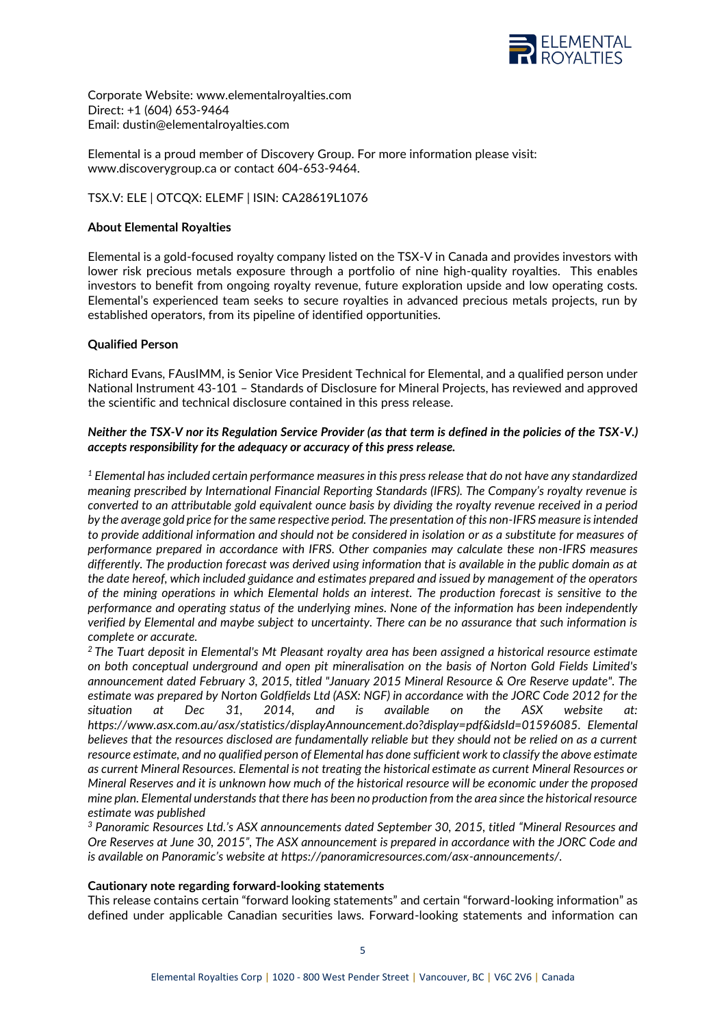

Corporate Website: [www.elementalroyalties.com](http://www.elementalroyalties.com/) Direct: +1 (604) 653-9464 Email: [dustin@elementalroyalties.com](mailto:dustin@elementalroyalties.com)

Elemental is a proud member of Discovery Group. For more information please visit: [www.discoverygroup.ca](http://www.discoverygroup.ca/) or contact 604-653-9464.

### TSX.V: ELE | OTCQX: ELEMF | ISIN: CA28619L1076

### **About Elemental Royalties**

Elemental is a gold-focused royalty company listed on the TSX-V in Canada and provides investors with lower risk precious metals exposure through a portfolio of nine high-quality royalties. This enables investors to benefit from ongoing royalty revenue, future exploration upside and low operating costs. Elemental's experienced team seeks to secure royalties in advanced precious metals projects, run by established operators, from its pipeline of identified opportunities.

### **Qualified Person**

Richard Evans, FAusIMM, is Senior Vice President Technical for Elemental, and a qualified person under National Instrument 43-101 – Standards of Disclosure for Mineral Projects, has reviewed and approved the scientific and technical disclosure contained in this press release.

### *Neither the TSX-V nor its Regulation Service Provider (as that term is defined in the policies of the TSX-V.) accepts responsibility for the adequacy or accuracy of this press release.*

*<sup>1</sup> Elemental has included certain performance measures in this press release that do not have any standardized meaning prescribed by International Financial Reporting Standards (IFRS). The Company's royalty revenue is converted to an attributable gold equivalent ounce basis by dividing the royalty revenue received in a period by the average gold price for the same respective period. The presentation of this non-IFRS measure is intended to provide additional information and should not be considered in isolation or as a substitute for measures of performance prepared in accordance with IFRS. Other companies may calculate these non-IFRS measures differently. The production forecast was derived using information that is available in the public domain as at the date hereof, which included guidance and estimates prepared and issued by management of the operators of the mining operations in which Elemental holds an interest. The production forecast is sensitive to the performance and operating status of the underlying mines. None of the information has been independently verified by Elemental and maybe subject to uncertainty. There can be no assurance that such information is complete or accurate.*

*<sup>2</sup>The Tuart deposit in Elemental's Mt Pleasant royalty area has been assigned a historical resource estimate on both conceptual underground and open pit mineralisation on the basis of Norton Gold Fields Limited's announcement dated February 3, 2015, titled "January 2015 Mineral Resource & Ore Reserve update". The estimate was prepared by Norton Goldfields Ltd (ASX: NGF) in accordance with the JORC Code 2012 for the situation at Dec 31, 2014, and is available on the ASX website at: [https://www.asx.com.au/asx/statistics/displayAnnouncement.do?display=pdf&idsId=01596085.](https://www.asx.com.au/asx/statistics/displayAnnouncement.do?display=pdf&idsId=01596085) Elemental believes that the resources disclosed are fundamentally reliable but they should not be relied on as a current resource estimate, and no qualified person of Elemental has done sufficient work to classify the above estimate as current Mineral Resources. Elemental is not treating the historical estimate as current Mineral Resources or Mineral Reserves and it is unknown how much of the historical resource will be economic under the proposed mine plan. Elemental understands that there has been no production from the area since the historical resource estimate was published*

*<sup>3</sup> Panoramic Resources Ltd.'s ASX announcements dated September 30, 2015, titled "Mineral Resources and Ore Reserves at June 30, 2015", The ASX announcement is prepared in accordance with the JORC Code and is available on Panoramic's website at https://panoramicresources.com/asx-announcements/.*

#### **Cautionary note regarding forward-looking statements**

This release contains certain "forward looking statements" and certain "forward-looking information" as defined under applicable Canadian securities laws. Forward-looking statements and information can